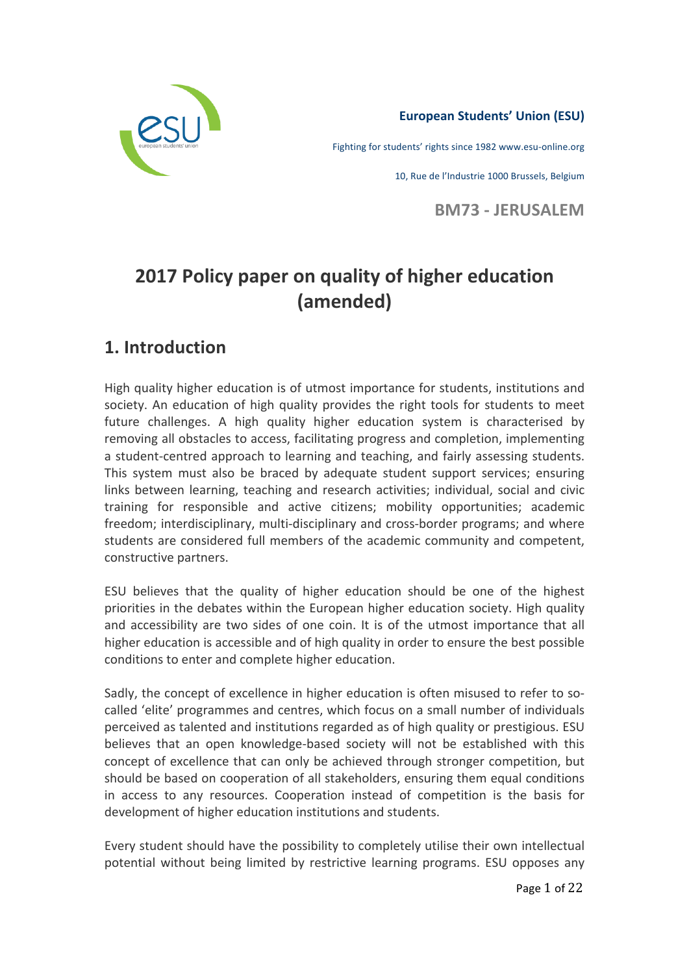

## **European Students' Union (ESU)**

Fighting for students' rights since 1982 www.esu-online.org

10, Rue de l'Industrie 1000 Brussels, Belgium

**BM73 - JERUSALEM** 

# **2017 Policy paper on quality of higher education (amended)**

## **1. Introduction**

High quality higher education is of utmost importance for students, institutions and society. An education of high quality provides the right tools for students to meet future challenges. A high quality higher education system is characterised by removing all obstacles to access, facilitating progress and completion, implementing a student-centred approach to learning and teaching, and fairly assessing students. This system must also be braced by adequate student support services; ensuring links between learning, teaching and research activities; individual, social and civic training for responsible and active citizens; mobility opportunities; academic freedom; interdisciplinary, multi-disciplinary and cross-border programs; and where students are considered full members of the academic community and competent, constructive partners.

ESU believes that the quality of higher education should be one of the highest priorities in the debates within the European higher education society. High quality and accessibility are two sides of one coin. It is of the utmost importance that all higher education is accessible and of high quality in order to ensure the best possible conditions to enter and complete higher education.

Sadly, the concept of excellence in higher education is often misused to refer to socalled 'elite' programmes and centres, which focus on a small number of individuals perceived as talented and institutions regarded as of high quality or prestigious. ESU believes that an open knowledge-based society will not be established with this concept of excellence that can only be achieved through stronger competition, but should be based on cooperation of all stakeholders, ensuring them equal conditions in access to any resources. Cooperation instead of competition is the basis for development of higher education institutions and students.

Every student should have the possibility to completely utilise their own intellectual potential without being limited by restrictive learning programs. ESU opposes any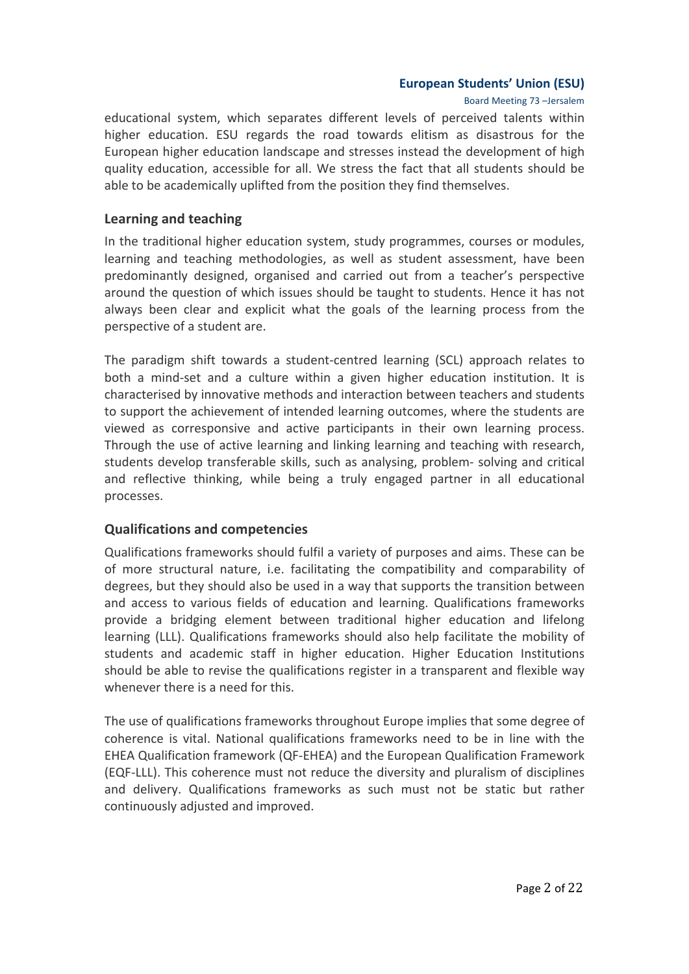Board Meeting 73 -Jersalem

educational system, which separates different levels of perceived talents within higher education. ESU regards the road towards elitism as disastrous for the European higher education landscape and stresses instead the development of high quality education, accessible for all. We stress the fact that all students should be able to be academically uplifted from the position they find themselves.

#### **Learning and teaching**

In the traditional higher education system, study programmes, courses or modules, learning and teaching methodologies, as well as student assessment, have been predominantly designed, organised and carried out from a teacher's perspective around the question of which issues should be taught to students. Hence it has not always been clear and explicit what the goals of the learning process from the perspective of a student are.

The paradigm shift towards a student-centred learning (SCL) approach relates to both a mind-set and a culture within a given higher education institution. It is characterised by innovative methods and interaction between teachers and students to support the achievement of intended learning outcomes, where the students are viewed as corresponsive and active participants in their own learning process. Through the use of active learning and linking learning and teaching with research, students develop transferable skills, such as analysing, problem- solving and critical and reflective thinking, while being a truly engaged partner in all educational processes.

## **Qualifications and competencies**

Qualifications frameworks should fulfil a variety of purposes and aims. These can be of more structural nature, i.e. facilitating the compatibility and comparability of degrees, but they should also be used in a way that supports the transition between and access to various fields of education and learning. Qualifications frameworks provide a bridging element between traditional higher education and lifelong learning (LLL). Qualifications frameworks should also help facilitate the mobility of students and academic staff in higher education. Higher Education Institutions should be able to revise the qualifications register in a transparent and flexible way whenever there is a need for this.

The use of qualifications frameworks throughout Europe implies that some degree of coherence is vital. National qualifications frameworks need to be in line with the EHEA Qualification framework (QF-EHEA) and the European Qualification Framework (EQF-LLL). This coherence must not reduce the diversity and pluralism of disciplines and delivery. Qualifications frameworks as such must not be static but rather continuously adjusted and improved.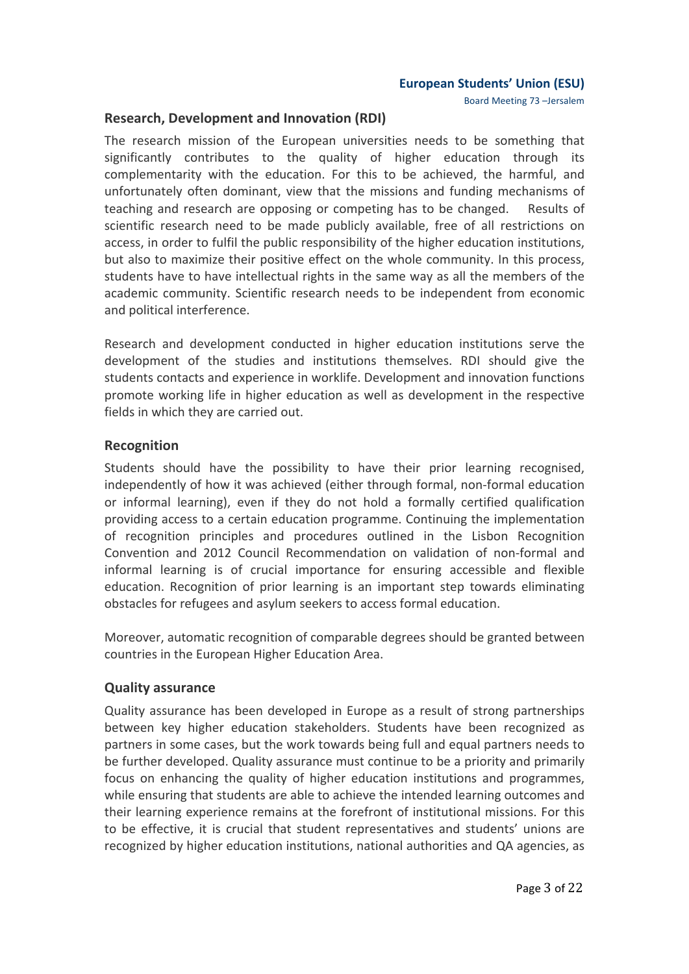Board Meeting 73 -Jersalem

#### **Research, Development and Innovation (RDI)**

The research mission of the European universities needs to be something that significantly contributes to the quality of higher education through its complementarity with the education. For this to be achieved, the harmful, and unfortunately often dominant, view that the missions and funding mechanisms of teaching and research are opposing or competing has to be changed. Results of scientific research need to be made publicly available, free of all restrictions on access, in order to fulfil the public responsibility of the higher education institutions, but also to maximize their positive effect on the whole community. In this process, students have to have intellectual rights in the same way as all the members of the academic community. Scientific research needs to be independent from economic and political interference.

Research and development conducted in higher education institutions serve the development of the studies and institutions themselves. RDI should give the students contacts and experience in worklife. Development and innovation functions promote working life in higher education as well as development in the respective fields in which they are carried out.

## **Recognition**

Students should have the possibility to have their prior learning recognised, independently of how it was achieved (either through formal, non-formal education or informal learning), even if they do not hold a formally certified qualification providing access to a certain education programme. Continuing the implementation of recognition principles and procedures outlined in the Lisbon Recognition Convention and 2012 Council Recommendation on validation of non-formal and informal learning is of crucial importance for ensuring accessible and flexible education. Recognition of prior learning is an important step towards eliminating obstacles for refugees and asylum seekers to access formal education.

Moreover, automatic recognition of comparable degrees should be granted between countries in the European Higher Education Area.

#### **Quality assurance**

Quality assurance has been developed in Europe as a result of strong partnerships between key higher education stakeholders. Students have been recognized as partners in some cases, but the work towards being full and equal partners needs to be further developed. Quality assurance must continue to be a priority and primarily focus on enhancing the quality of higher education institutions and programmes, while ensuring that students are able to achieve the intended learning outcomes and their learning experience remains at the forefront of institutional missions. For this to be effective, it is crucial that student representatives and students' unions are recognized by higher education institutions, national authorities and QA agencies, as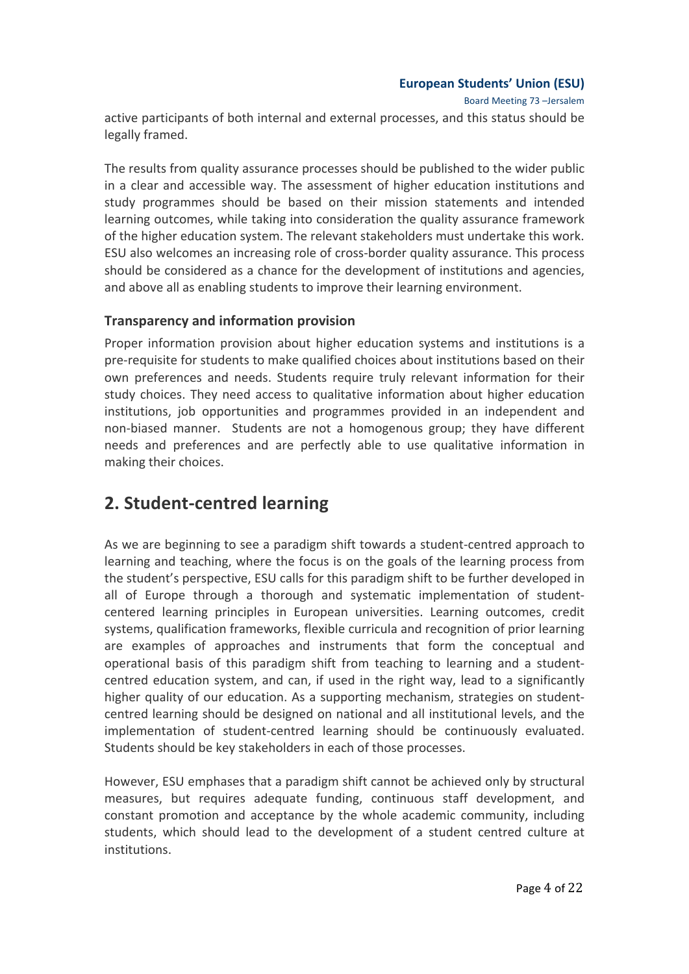Board Meeting 73 -Jersalem

active participants of both internal and external processes, and this status should be legally framed.

The results from quality assurance processes should be published to the wider public in a clear and accessible way. The assessment of higher education institutions and study programmes should be based on their mission statements and intended learning outcomes, while taking into consideration the quality assurance framework of the higher education system. The relevant stakeholders must undertake this work. ESU also welcomes an increasing role of cross-border quality assurance. This process should be considered as a chance for the development of institutions and agencies, and above all as enabling students to improve their learning environment.

## **Transparency and information provision**

Proper information provision about higher education systems and institutions is a pre-requisite for students to make qualified choices about institutions based on their own preferences and needs. Students require truly relevant information for their study choices. They need access to qualitative information about higher education institutions, job opportunities and programmes provided in an independent and non-biased manner. Students are not a homogenous group; they have different needs and preferences and are perfectly able to use qualitative information in making their choices.

## **2. Student-centred learning**

As we are beginning to see a paradigm shift towards a student-centred approach to learning and teaching, where the focus is on the goals of the learning process from the student's perspective, ESU calls for this paradigm shift to be further developed in all of Europe through a thorough and systematic implementation of studentcentered learning principles in European universities. Learning outcomes, credit systems, qualification frameworks, flexible curricula and recognition of prior learning are examples of approaches and instruments that form the conceptual and operational basis of this paradigm shift from teaching to learning and a studentcentred education system, and can, if used in the right way, lead to a significantly higher quality of our education. As a supporting mechanism, strategies on studentcentred learning should be designed on national and all institutional levels, and the implementation of student-centred learning should be continuously evaluated. Students should be key stakeholders in each of those processes.

However, ESU emphases that a paradigm shift cannot be achieved only by structural measures, but requires adequate funding, continuous staff development, and constant promotion and acceptance by the whole academic community, including students, which should lead to the development of a student centred culture at institutions.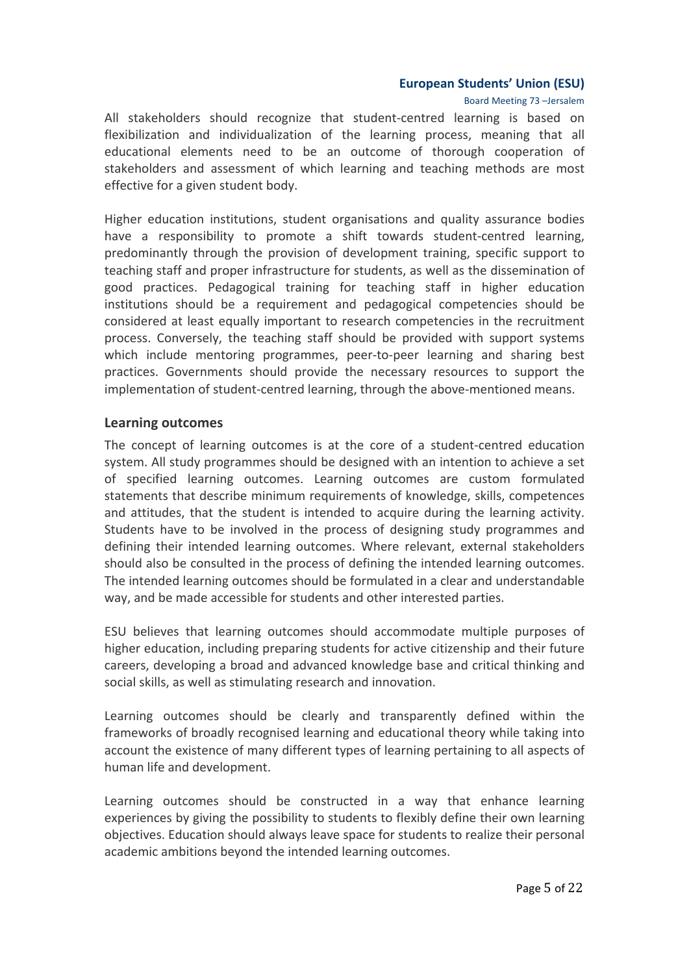Board Meeting 73 -Jersalem

All stakeholders should recognize that student-centred learning is based on flexibilization and individualization of the learning process, meaning that all educational elements need to be an outcome of thorough cooperation of stakeholders and assessment of which learning and teaching methods are most effective for a given student body.

Higher education institutions, student organisations and quality assurance bodies have a responsibility to promote a shift towards student-centred learning, predominantly through the provision of development training, specific support to teaching staff and proper infrastructure for students, as well as the dissemination of good practices. Pedagogical training for teaching staff in higher education institutions should be a requirement and pedagogical competencies should be considered at least equally important to research competencies in the recruitment process. Conversely, the teaching staff should be provided with support systems which include mentoring programmes, peer-to-peer learning and sharing best practices. Governments should provide the necessary resources to support the implementation of student-centred learning, through the above-mentioned means.

#### **Learning outcomes**

The concept of learning outcomes is at the core of a student-centred education system. All study programmes should be designed with an intention to achieve a set of specified learning outcomes. Learning outcomes are custom formulated statements that describe minimum requirements of knowledge, skills, competences and attitudes, that the student is intended to acquire during the learning activity. Students have to be involved in the process of designing study programmes and defining their intended learning outcomes. Where relevant, external stakeholders should also be consulted in the process of defining the intended learning outcomes. The intended learning outcomes should be formulated in a clear and understandable way, and be made accessible for students and other interested parties.

ESU believes that learning outcomes should accommodate multiple purposes of higher education, including preparing students for active citizenship and their future careers, developing a broad and advanced knowledge base and critical thinking and social skills, as well as stimulating research and innovation.

Learning outcomes should be clearly and transparently defined within the frameworks of broadly recognised learning and educational theory while taking into account the existence of many different types of learning pertaining to all aspects of human life and development.

Learning outcomes should be constructed in a way that enhance learning experiences by giving the possibility to students to flexibly define their own learning objectives. Education should always leave space for students to realize their personal academic ambitions beyond the intended learning outcomes.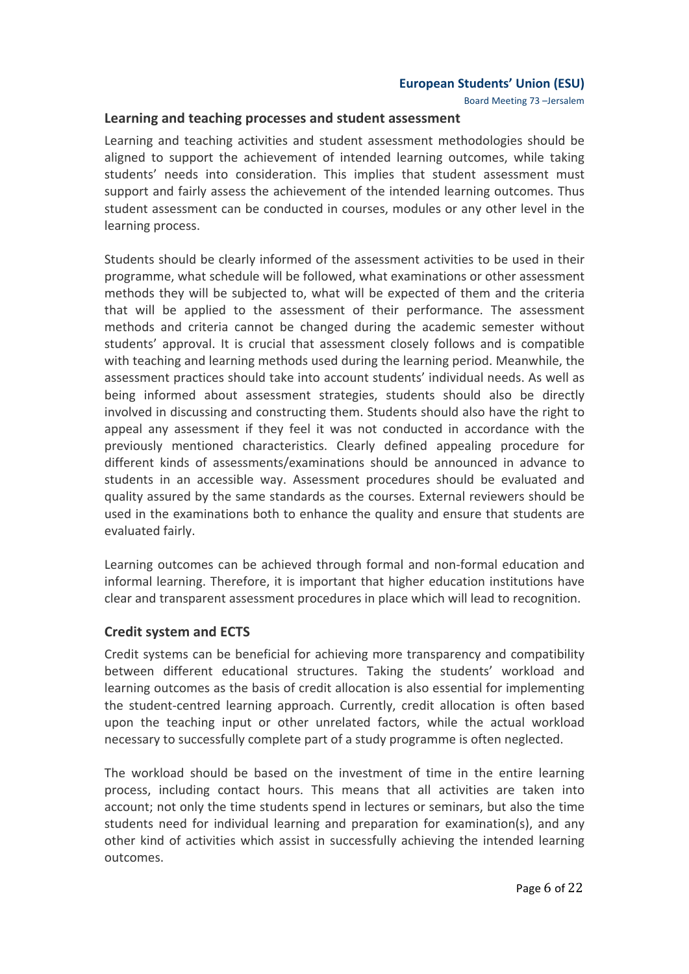Board Meeting 73 -Jersalem

#### Learning and teaching processes and student assessment

Learning and teaching activities and student assessment methodologies should be aligned to support the achievement of intended learning outcomes, while taking students' needs into consideration. This implies that student assessment must support and fairly assess the achievement of the intended learning outcomes. Thus student assessment can be conducted in courses, modules or any other level in the learning process.

Students should be clearly informed of the assessment activities to be used in their programme, what schedule will be followed, what examinations or other assessment methods they will be subjected to, what will be expected of them and the criteria that will be applied to the assessment of their performance. The assessment methods and criteria cannot be changed during the academic semester without students' approval. It is crucial that assessment closely follows and is compatible with teaching and learning methods used during the learning period. Meanwhile, the assessment practices should take into account students' individual needs. As well as being informed about assessment strategies, students should also be directly involved in discussing and constructing them. Students should also have the right to appeal any assessment if they feel it was not conducted in accordance with the previously mentioned characteristics. Clearly defined appealing procedure for different kinds of assessments/examinations should be announced in advance to students in an accessible way. Assessment procedures should be evaluated and quality assured by the same standards as the courses. External reviewers should be used in the examinations both to enhance the quality and ensure that students are evaluated fairly.

Learning outcomes can be achieved through formal and non-formal education and informal learning. Therefore, it is important that higher education institutions have clear and transparent assessment procedures in place which will lead to recognition.

## **Credit system and ECTS**

Credit systems can be beneficial for achieving more transparency and compatibility between different educational structures. Taking the students' workload and learning outcomes as the basis of credit allocation is also essential for implementing the student-centred learning approach. Currently, credit allocation is often based upon the teaching input or other unrelated factors, while the actual workload necessary to successfully complete part of a study programme is often neglected.

The workload should be based on the investment of time in the entire learning process, including contact hours. This means that all activities are taken into account; not only the time students spend in lectures or seminars, but also the time students need for individual learning and preparation for examination(s), and any other kind of activities which assist in successfully achieving the intended learning outcomes.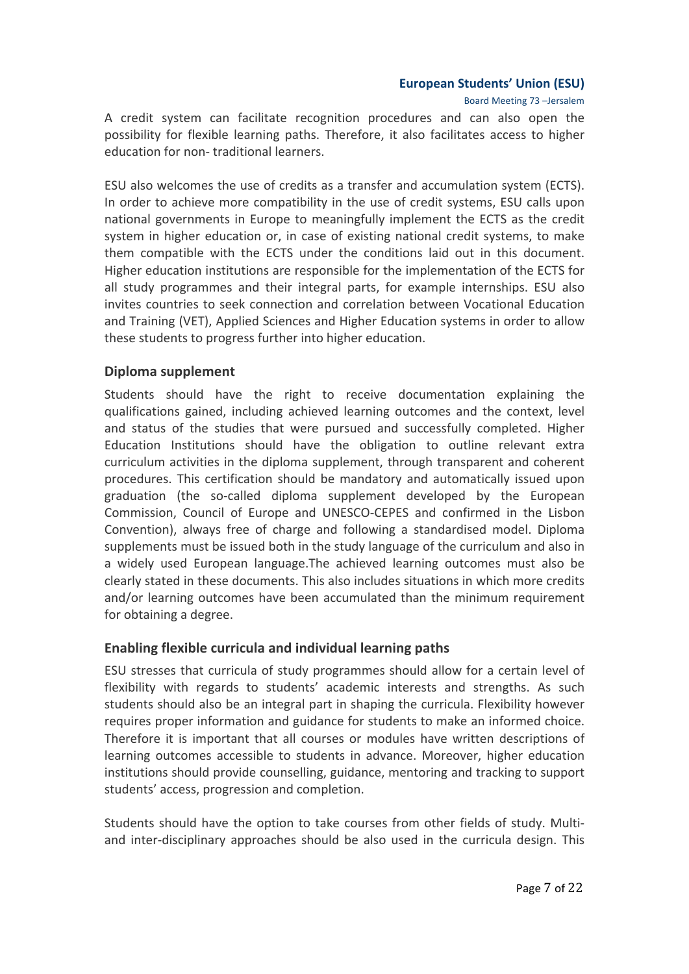Board Meeting 73 -Jersalem

A credit system can facilitate recognition procedures and can also open the possibility for flexible learning paths. Therefore, it also facilitates access to higher education for non-traditional learners.

ESU also welcomes the use of credits as a transfer and accumulation system (ECTS). In order to achieve more compatibility in the use of credit systems, ESU calls upon national governments in Europe to meaningfully implement the ECTS as the credit system in higher education or, in case of existing national credit systems, to make them compatible with the ECTS under the conditions laid out in this document. Higher education institutions are responsible for the implementation of the ECTS for all study programmes and their integral parts, for example internships. ESU also invites countries to seek connection and correlation between Vocational Education and Training (VET), Applied Sciences and Higher Education systems in order to allow these students to progress further into higher education.

## **Diploma supplement**

Students should have the right to receive documentation explaining the qualifications gained, including achieved learning outcomes and the context, level and status of the studies that were pursued and successfully completed. Higher Education Institutions should have the obligation to outline relevant extra curriculum activities in the diploma supplement, through transparent and coherent procedures. This certification should be mandatory and automatically issued upon graduation (the so-called diploma supplement developed by the European Commission, Council of Europe and UNESCO-CEPES and confirmed in the Lisbon Convention), always free of charge and following a standardised model. Diploma supplements must be issued both in the study language of the curriculum and also in a widely used European language. The achieved learning outcomes must also be clearly stated in these documents. This also includes situations in which more credits and/or learning outcomes have been accumulated than the minimum requirement for obtaining a degree.

## Enabling flexible curricula and individual learning paths

ESU stresses that curricula of study programmes should allow for a certain level of flexibility with regards to students' academic interests and strengths. As such students should also be an integral part in shaping the curricula. Flexibility however requires proper information and guidance for students to make an informed choice. Therefore it is important that all courses or modules have written descriptions of learning outcomes accessible to students in advance. Moreover, higher education institutions should provide counselling, guidance, mentoring and tracking to support students' access, progression and completion.

Students should have the option to take courses from other fields of study. Multiand inter-disciplinary approaches should be also used in the curricula design. This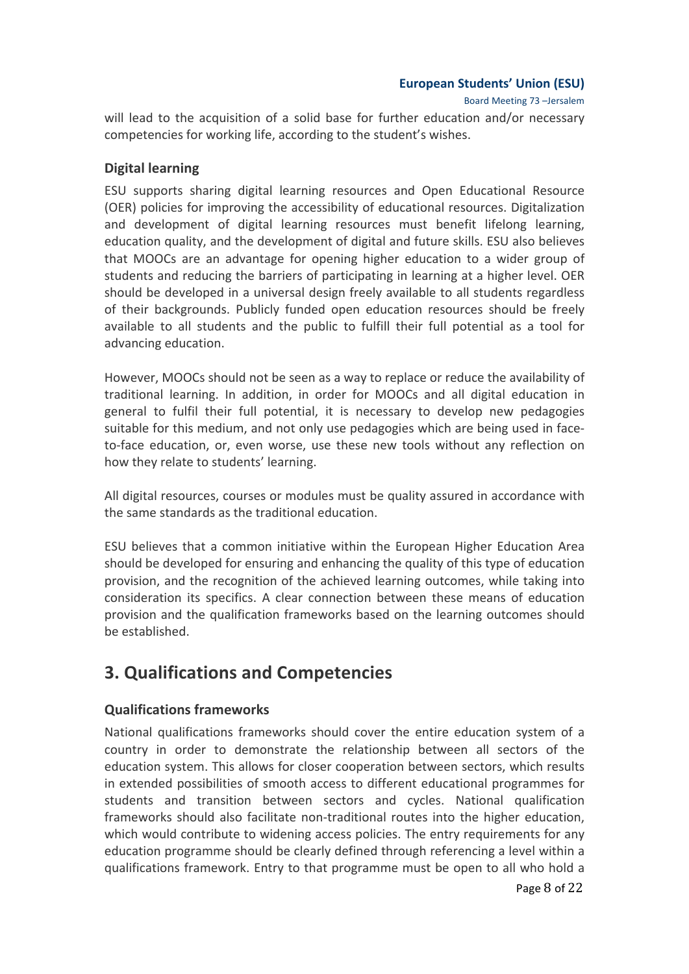Board Meeting 73 -Jersalem

will lead to the acquisition of a solid base for further education and/or necessary competencies for working life, according to the student's wishes.

## **Digital learning**

ESU supports sharing digital learning resources and Open Educational Resource (OER) policies for improving the accessibility of educational resources. Digitalization and development of digital learning resources must benefit lifelong learning, education quality, and the development of digital and future skills. ESU also believes that MOOCs are an advantage for opening higher education to a wider group of students and reducing the barriers of participating in learning at a higher level. OER should be developed in a universal design freely available to all students regardless of their backgrounds. Publicly funded open education resources should be freely available to all students and the public to fulfill their full potential as a tool for advancing education.

However, MOOCs should not be seen as a way to replace or reduce the availability of traditional learning. In addition, in order for MOOCs and all digital education in general to fulfil their full potential, it is necessary to develop new pedagogies suitable for this medium, and not only use pedagogies which are being used in faceto-face education, or, even worse, use these new tools without any reflection on how they relate to students' learning.

All digital resources, courses or modules must be quality assured in accordance with the same standards as the traditional education.

ESU believes that a common initiative within the European Higher Education Area should be developed for ensuring and enhancing the quality of this type of education provision, and the recognition of the achieved learning outcomes, while taking into consideration its specifics. A clear connection between these means of education provision and the qualification frameworks based on the learning outcomes should be established.

## **3. Qualifications and Competencies**

## **Qualifications frameworks**

National qualifications frameworks should cover the entire education system of a country in order to demonstrate the relationship between all sectors of the education system. This allows for closer cooperation between sectors, which results in extended possibilities of smooth access to different educational programmes for students and transition between sectors and cycles. National qualification frameworks should also facilitate non-traditional routes into the higher education, which would contribute to widening access policies. The entry requirements for any education programme should be clearly defined through referencing a level within a qualifications framework. Entry to that programme must be open to all who hold a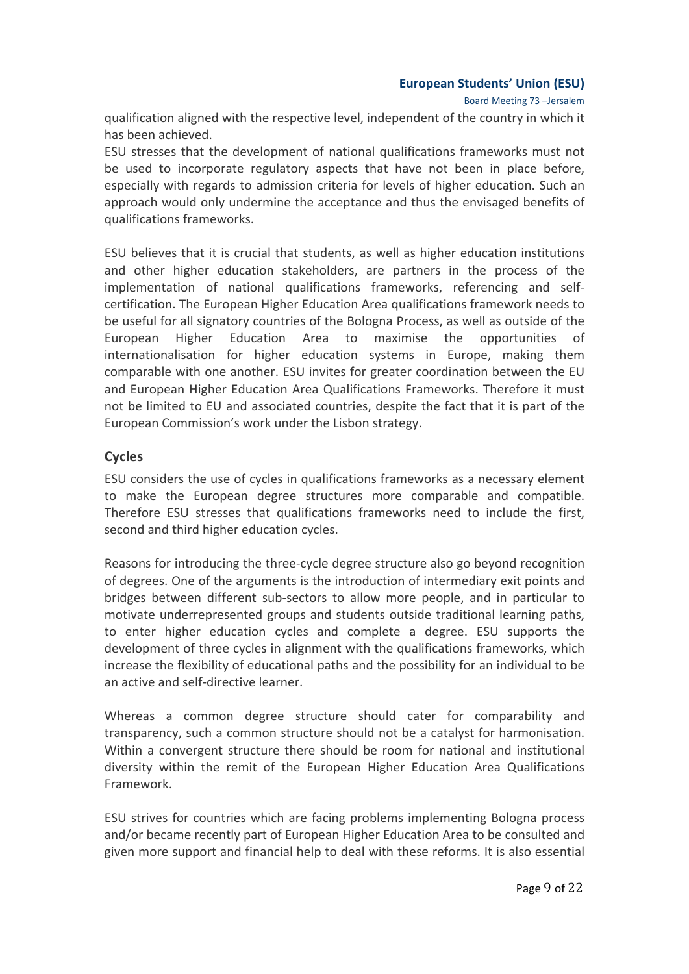Board Meeting 73 -Jersalem

qualification aligned with the respective level, independent of the country in which it has been achieved.

ESU stresses that the development of national qualifications frameworks must not be used to incorporate regulatory aspects that have not been in place before, especially with regards to admission criteria for levels of higher education. Such an approach would only undermine the acceptance and thus the envisaged benefits of qualifications frameworks.

ESU believes that it is crucial that students, as well as higher education institutions and other higher education stakeholders, are partners in the process of the implementation of national qualifications frameworks, referencing and selfcertification. The European Higher Education Area qualifications framework needs to be useful for all signatory countries of the Bologna Process, as well as outside of the European Higher Education Area to maximise the opportunities of internationalisation for higher education systems in Europe, making them comparable with one another. ESU invites for greater coordination between the EU and European Higher Education Area Qualifications Frameworks. Therefore it must not be limited to EU and associated countries, despite the fact that it is part of the European Commission's work under the Lisbon strategy.

### **Cycles**

ESU considers the use of cycles in qualifications frameworks as a necessary element to make the European degree structures more comparable and compatible. Therefore ESU stresses that qualifications frameworks need to include the first, second and third higher education cycles.

Reasons for introducing the three-cycle degree structure also go beyond recognition of degrees. One of the arguments is the introduction of intermediary exit points and bridges between different sub-sectors to allow more people, and in particular to motivate underrepresented groups and students outside traditional learning paths, to enter higher education cycles and complete a degree. ESU supports the development of three cycles in alignment with the qualifications frameworks, which increase the flexibility of educational paths and the possibility for an individual to be an active and self-directive learner.

Whereas a common degree structure should cater for comparability and transparency, such a common structure should not be a catalyst for harmonisation. Within a convergent structure there should be room for national and institutional diversity within the remit of the European Higher Education Area Qualifications Framework.

ESU strives for countries which are facing problems implementing Bologna process and/or became recently part of European Higher Education Area to be consulted and given more support and financial help to deal with these reforms. It is also essential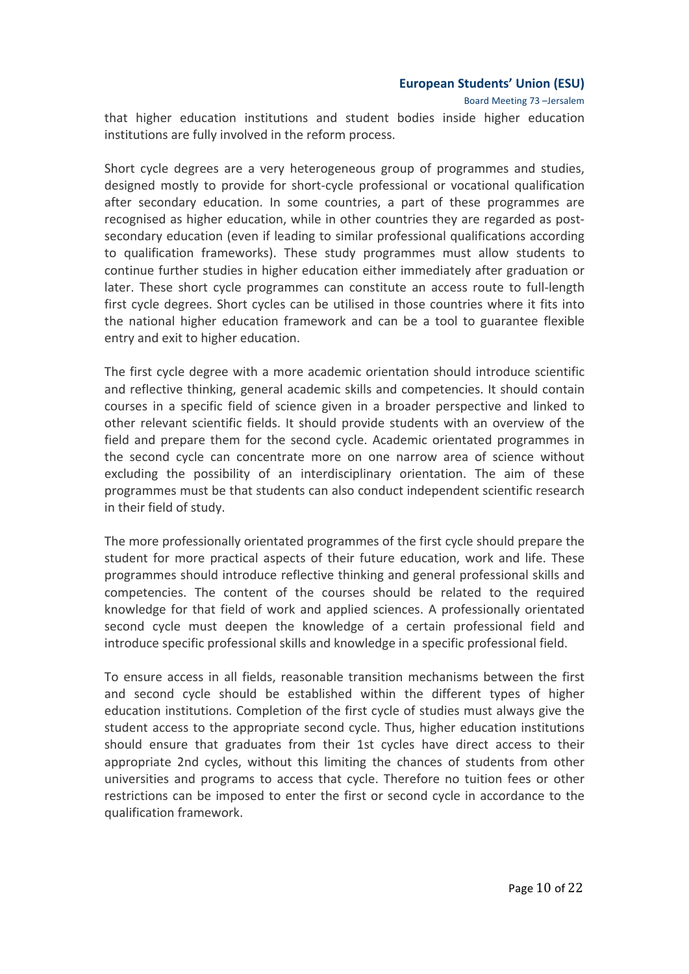Board Meeting 73 -Jersalem

that higher education institutions and student bodies inside higher education institutions are fully involved in the reform process.

Short cycle degrees are a very heterogeneous group of programmes and studies, designed mostly to provide for short-cycle professional or vocational qualification after secondary education. In some countries, a part of these programmes are recognised as higher education, while in other countries they are regarded as postsecondary education (even if leading to similar professional qualifications according to qualification frameworks). These study programmes must allow students to continue further studies in higher education either immediately after graduation or later. These short cycle programmes can constitute an access route to full-length first cycle degrees. Short cycles can be utilised in those countries where it fits into the national higher education framework and can be a tool to guarantee flexible entry and exit to higher education.

The first cycle degree with a more academic orientation should introduce scientific and reflective thinking, general academic skills and competencies. It should contain courses in a specific field of science given in a broader perspective and linked to other relevant scientific fields. It should provide students with an overview of the field and prepare them for the second cycle. Academic orientated programmes in the second cycle can concentrate more on one narrow area of science without excluding the possibility of an interdisciplinary orientation. The aim of these programmes must be that students can also conduct independent scientific research in their field of study.

The more professionally orientated programmes of the first cycle should prepare the student for more practical aspects of their future education, work and life. These programmes should introduce reflective thinking and general professional skills and competencies. The content of the courses should be related to the required knowledge for that field of work and applied sciences. A professionally orientated second cycle must deepen the knowledge of a certain professional field and introduce specific professional skills and knowledge in a specific professional field.

To ensure access in all fields, reasonable transition mechanisms between the first and second cycle should be established within the different types of higher education institutions. Completion of the first cycle of studies must always give the student access to the appropriate second cycle. Thus, higher education institutions should ensure that graduates from their 1st cycles have direct access to their appropriate 2nd cycles, without this limiting the chances of students from other universities and programs to access that cycle. Therefore no tuition fees or other restrictions can be imposed to enter the first or second cycle in accordance to the qualification framework.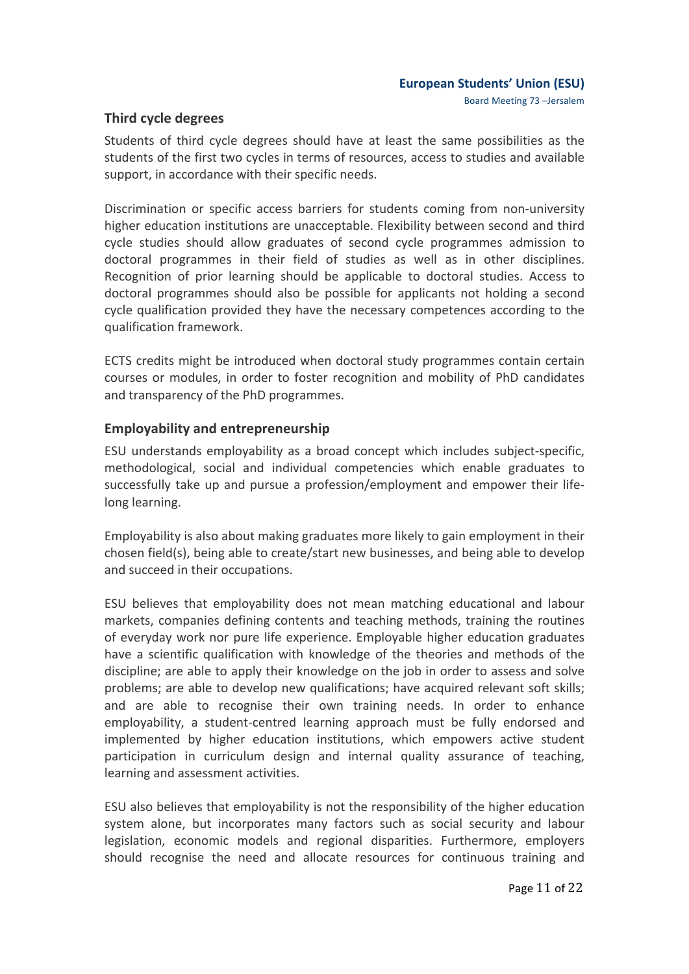### **Third cycle degrees**

Students of third cycle degrees should have at least the same possibilities as the students of the first two cycles in terms of resources, access to studies and available support, in accordance with their specific needs.

Discrimination or specific access barriers for students coming from non-university higher education institutions are unacceptable. Flexibility between second and third cycle studies should allow graduates of second cycle programmes admission to doctoral programmes in their field of studies as well as in other disciplines. Recognition of prior learning should be applicable to doctoral studies. Access to doctoral programmes should also be possible for applicants not holding a second cycle qualification provided they have the necessary competences according to the qualification framework.

ECTS credits might be introduced when doctoral study programmes contain certain courses or modules, in order to foster recognition and mobility of PhD candidates and transparency of the PhD programmes.

## **Employability and entrepreneurship**

ESU understands employability as a broad concept which includes subject-specific, methodological, social and individual competencies which enable graduates to successfully take up and pursue a profession/employment and empower their lifelong learning.

Employability is also about making graduates more likely to gain employment in their chosen field(s), being able to create/start new businesses, and being able to develop and succeed in their occupations.

ESU believes that employability does not mean matching educational and labour markets, companies defining contents and teaching methods, training the routines of everyday work nor pure life experience. Employable higher education graduates have a scientific qualification with knowledge of the theories and methods of the discipline; are able to apply their knowledge on the job in order to assess and solve problems; are able to develop new qualifications; have acquired relevant soft skills; and are able to recognise their own training needs. In order to enhance employability, a student-centred learning approach must be fully endorsed and implemented by higher education institutions, which empowers active student participation in curriculum design and internal quality assurance of teaching, learning and assessment activities.

ESU also believes that employability is not the responsibility of the higher education system alone, but incorporates many factors such as social security and labour legislation, economic models and regional disparities. Furthermore, employers should recognise the need and allocate resources for continuous training and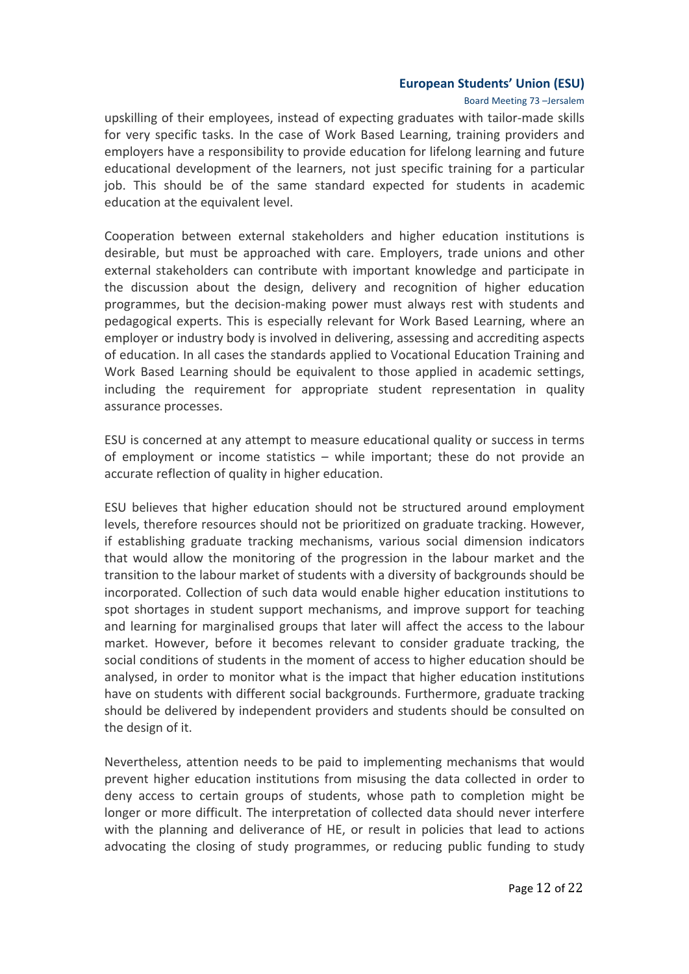#### Board Meeting 73 -Jersalem

upskilling of their employees, instead of expecting graduates with tailor-made skills for very specific tasks. In the case of Work Based Learning, training providers and employers have a responsibility to provide education for lifelong learning and future educational development of the learners, not just specific training for a particular job. This should be of the same standard expected for students in academic education at the equivalent level.

Cooperation between external stakeholders and higher education institutions is desirable, but must be approached with care. Employers, trade unions and other external stakeholders can contribute with important knowledge and participate in the discussion about the design, delivery and recognition of higher education programmes, but the decision-making power must always rest with students and pedagogical experts. This is especially relevant for Work Based Learning, where an employer or industry body is involved in delivering, assessing and accrediting aspects of education. In all cases the standards applied to Vocational Education Training and Work Based Learning should be equivalent to those applied in academic settings, including the requirement for appropriate student representation in quality assurance processes.

ESU is concerned at any attempt to measure educational quality or success in terms of employment or income statistics  $-$  while important; these do not provide an accurate reflection of quality in higher education.

ESU believes that higher education should not be structured around employment levels, therefore resources should not be prioritized on graduate tracking. However, if establishing graduate tracking mechanisms, various social dimension indicators that would allow the monitoring of the progression in the labour market and the transition to the labour market of students with a diversity of backgrounds should be incorporated. Collection of such data would enable higher education institutions to spot shortages in student support mechanisms, and improve support for teaching and learning for marginalised groups that later will affect the access to the labour market. However, before it becomes relevant to consider graduate tracking, the social conditions of students in the moment of access to higher education should be analysed, in order to monitor what is the impact that higher education institutions have on students with different social backgrounds. Furthermore, graduate tracking should be delivered by independent providers and students should be consulted on the design of it.

Nevertheless, attention needs to be paid to implementing mechanisms that would prevent higher education institutions from misusing the data collected in order to deny access to certain groups of students, whose path to completion might be longer or more difficult. The interpretation of collected data should never interfere with the planning and deliverance of HE, or result in policies that lead to actions advocating the closing of study programmes, or reducing public funding to study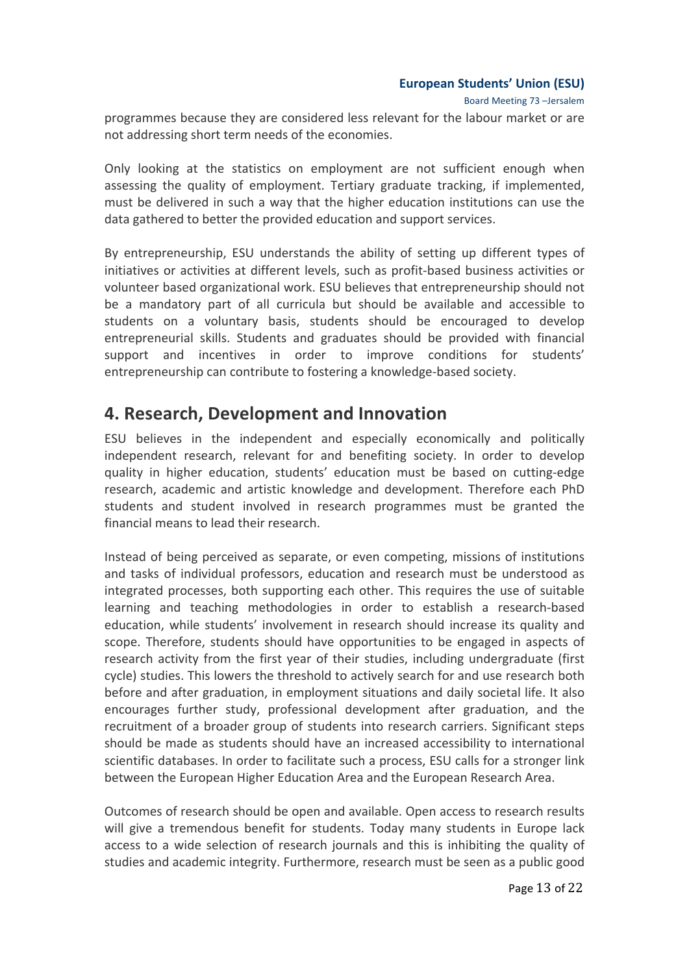Board Meeting 73 -Jersalem

programmes because they are considered less relevant for the labour market or are not addressing short term needs of the economies.

Only looking at the statistics on employment are not sufficient enough when assessing the quality of employment. Tertiary graduate tracking, if implemented, must be delivered in such a way that the higher education institutions can use the data gathered to better the provided education and support services.

By entrepreneurship, ESU understands the ability of setting up different types of initiatives or activities at different levels, such as profit-based business activities or volunteer based organizational work. ESU believes that entrepreneurship should not be a mandatory part of all curricula but should be available and accessible to students on a voluntary basis, students should be encouraged to develop entrepreneurial skills. Students and graduates should be provided with financial support and incentives in order to improve conditions for students' entrepreneurship can contribute to fostering a knowledge-based society.

## **4. Research, Development and Innovation**

ESU believes in the independent and especially economically and politically independent research, relevant for and benefiting society. In order to develop quality in higher education, students' education must be based on cutting-edge research, academic and artistic knowledge and development. Therefore each PhD students and student involved in research programmes must be granted the financial means to lead their research.

Instead of being perceived as separate, or even competing, missions of institutions and tasks of individual professors, education and research must be understood as integrated processes, both supporting each other. This requires the use of suitable learning and teaching methodologies in order to establish a research-based education, while students' involvement in research should increase its quality and scope. Therefore, students should have opportunities to be engaged in aspects of research activity from the first year of their studies, including undergraduate (first cycle) studies. This lowers the threshold to actively search for and use research both before and after graduation, in employment situations and daily societal life. It also encourages further study, professional development after graduation, and the recruitment of a broader group of students into research carriers. Significant steps should be made as students should have an increased accessibility to international scientific databases. In order to facilitate such a process, ESU calls for a stronger link between the European Higher Education Area and the European Research Area.

Outcomes of research should be open and available. Open access to research results will give a tremendous benefit for students. Today many students in Europe lack access to a wide selection of research journals and this is inhibiting the quality of studies and academic integrity. Furthermore, research must be seen as a public good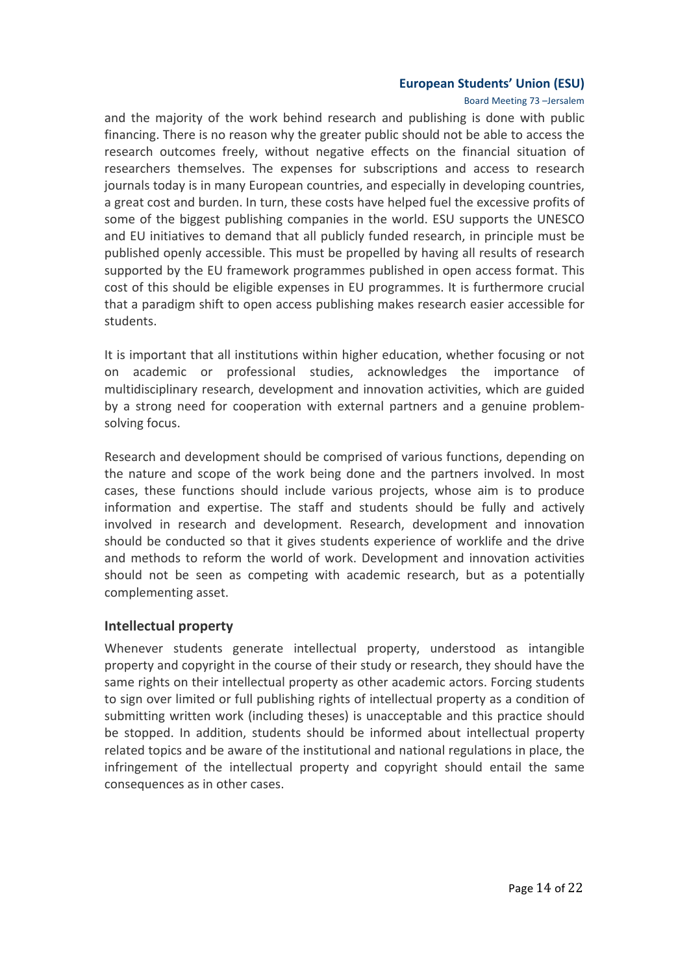#### Board Meeting 73 -Jersalem

and the majority of the work behind research and publishing is done with public financing. There is no reason why the greater public should not be able to access the research outcomes freely, without negative effects on the financial situation of researchers themselves. The expenses for subscriptions and access to research journals today is in many European countries, and especially in developing countries, a great cost and burden. In turn, these costs have helped fuel the excessive profits of some of the biggest publishing companies in the world. ESU supports the UNESCO and EU initiatives to demand that all publicly funded research, in principle must be published openly accessible. This must be propelled by having all results of research supported by the EU framework programmes published in open access format. This cost of this should be eligible expenses in EU programmes. It is furthermore crucial that a paradigm shift to open access publishing makes research easier accessible for students.

It is important that all institutions within higher education, whether focusing or not on academic or professional studies, acknowledges the importance of multidisciplinary research, development and innovation activities, which are guided by a strong need for cooperation with external partners and a genuine problemsolving focus.

Research and development should be comprised of various functions, depending on the nature and scope of the work being done and the partners involved. In most cases, these functions should include various projects, whose aim is to produce information and expertise. The staff and students should be fully and actively involved in research and development. Research, development and innovation should be conducted so that it gives students experience of worklife and the drive and methods to reform the world of work. Development and innovation activities should not be seen as competing with academic research, but as a potentially complementing asset.

#### **Intellectual property**

Whenever students generate intellectual property, understood as intangible property and copyright in the course of their study or research, they should have the same rights on their intellectual property as other academic actors. Forcing students to sign over limited or full publishing rights of intellectual property as a condition of submitting written work (including theses) is unacceptable and this practice should be stopped. In addition, students should be informed about intellectual property related topics and be aware of the institutional and national regulations in place, the infringement of the intellectual property and copyright should entail the same consequences as in other cases.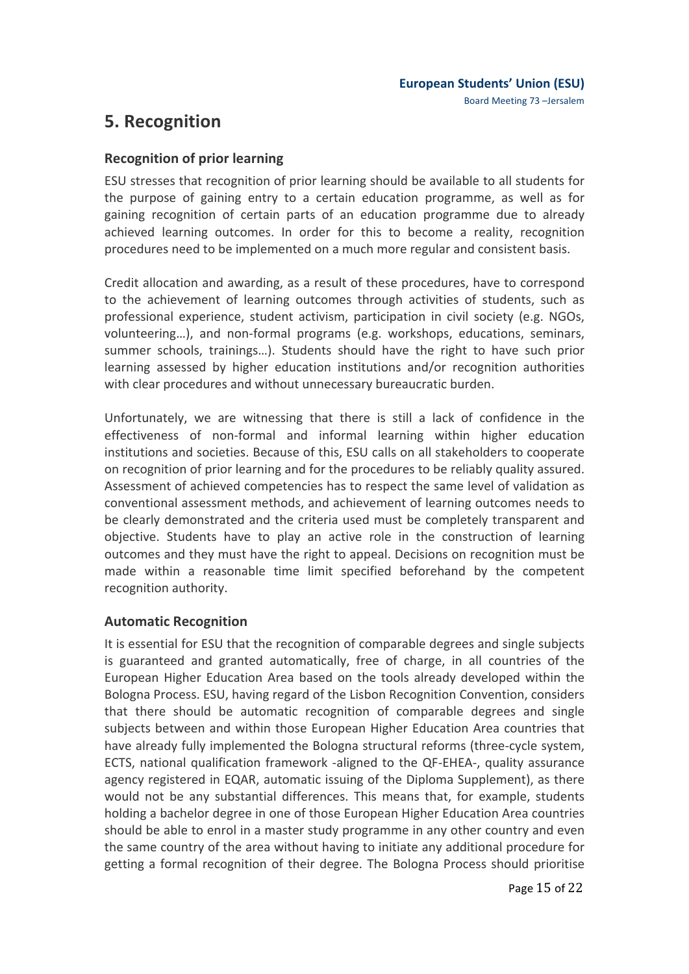## **5. Recognition**

## **Recognition of prior learning**

ESU stresses that recognition of prior learning should be available to all students for the purpose of gaining entry to a certain education programme, as well as for gaining recognition of certain parts of an education programme due to already achieved learning outcomes. In order for this to become a reality, recognition procedures need to be implemented on a much more regular and consistent basis.

Credit allocation and awarding, as a result of these procedures, have to correspond to the achievement of learning outcomes through activities of students, such as professional experience, student activism, participation in civil society (e.g. NGOs, volunteering...), and non-formal programs (e.g. workshops, educations, seminars, summer schools, trainings...). Students should have the right to have such prior learning assessed by higher education institutions and/or recognition authorities with clear procedures and without unnecessary bureaucratic burden.

Unfortunately, we are witnessing that there is still a lack of confidence in the effectiveness of non-formal and informal learning within higher education institutions and societies. Because of this, ESU calls on all stakeholders to cooperate on recognition of prior learning and for the procedures to be reliably quality assured. Assessment of achieved competencies has to respect the same level of validation as conventional assessment methods, and achievement of learning outcomes needs to be clearly demonstrated and the criteria used must be completely transparent and objective. Students have to play an active role in the construction of learning outcomes and they must have the right to appeal. Decisions on recognition must be made within a reasonable time limit specified beforehand by the competent recognition authority.

## **Automatic Recognition**

It is essential for ESU that the recognition of comparable degrees and single subjects is guaranteed and granted automatically, free of charge, in all countries of the European Higher Education Area based on the tools already developed within the Bologna Process. ESU, having regard of the Lisbon Recognition Convention, considers that there should be automatic recognition of comparable degrees and single subjects between and within those European Higher Education Area countries that have already fully implemented the Bologna structural reforms (three-cycle system, ECTS, national qualification framework -aligned to the QF-EHEA-, quality assurance agency registered in EQAR, automatic issuing of the Diploma Supplement), as there would not be any substantial differences. This means that, for example, students holding a bachelor degree in one of those European Higher Education Area countries should be able to enrol in a master study programme in any other country and even the same country of the area without having to initiate any additional procedure for getting a formal recognition of their degree. The Bologna Process should prioritise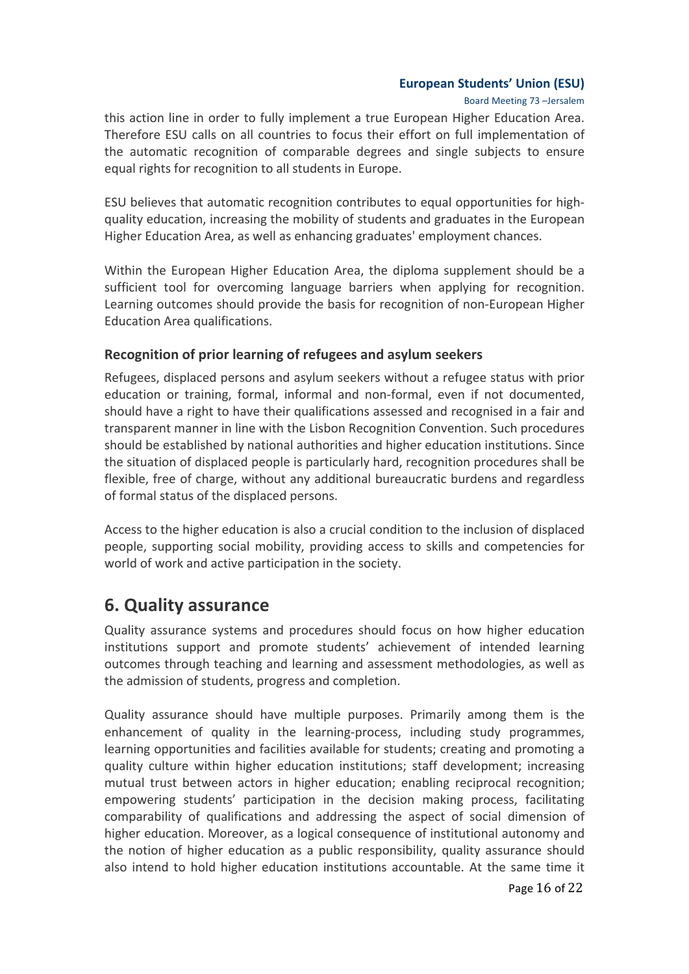Board Meeting 73 -Jersalem

this action line in order to fully implement a true European Higher Education Area. Therefore ESU calls on all countries to focus their effort on full implementation of the automatic recognition of comparable degrees and single subjects to ensure equal rights for recognition to all students in Europe.

ESU believes that automatic recognition contributes to equal opportunities for highquality education, increasing the mobility of students and graduates in the European Higher Education Area, as well as enhancing graduates' employment chances.

Within the European Higher Education Area, the diploma supplement should be a sufficient tool for overcoming language barriers when applying for recognition. Learning outcomes should provide the basis for recognition of non-European Higher Education Area qualifications.

## **Recognition of prior learning of refugees and asylum seekers**

Refugees, displaced persons and asylum seekers without a refugee status with prior education or training, formal, informal and non-formal, even if not documented, should have a right to have their qualifications assessed and recognised in a fair and transparent manner in line with the Lisbon Recognition Convention. Such procedures should be established by national authorities and higher education institutions. Since the situation of displaced people is particularly hard, recognition procedures shall be flexible, free of charge, without any additional bureaucratic burdens and regardless of formal status of the displaced persons.

Access to the higher education is also a crucial condition to the inclusion of displaced people, supporting social mobility, providing access to skills and competencies for world of work and active participation in the society.

## **6. Quality assurance**

Quality assurance systems and procedures should focus on how higher education institutions support and promote students' achievement of intended learning outcomes through teaching and learning and assessment methodologies, as well as the admission of students, progress and completion.

Quality assurance should have multiple purposes. Primarily among them is the enhancement of quality in the learning-process, including study programmes, learning opportunities and facilities available for students; creating and promoting a quality culture within higher education institutions; staff development; increasing mutual trust between actors in higher education; enabling reciprocal recognition; empowering students' participation in the decision making process, facilitating comparability of qualifications and addressing the aspect of social dimension of higher education. Moreover, as a logical consequence of institutional autonomy and the notion of higher education as a public responsibility, quality assurance should also intend to hold higher education institutions accountable. At the same time it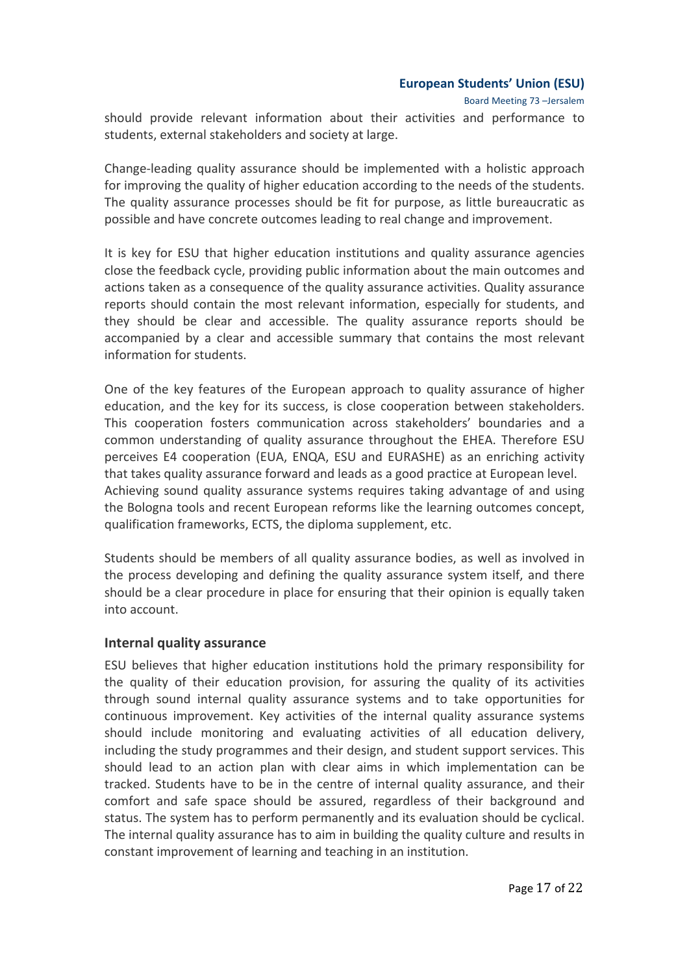Board Meeting 73 -Jersalem

should provide relevant information about their activities and performance to students, external stakeholders and society at large.

Change-leading quality assurance should be implemented with a holistic approach for improving the quality of higher education according to the needs of the students. The quality assurance processes should be fit for purpose, as little bureaucratic as possible and have concrete outcomes leading to real change and improvement.

It is key for ESU that higher education institutions and quality assurance agencies close the feedback cycle, providing public information about the main outcomes and actions taken as a consequence of the quality assurance activities. Quality assurance reports should contain the most relevant information, especially for students, and they should be clear and accessible. The quality assurance reports should be accompanied by a clear and accessible summary that contains the most relevant information for students.

One of the key features of the European approach to quality assurance of higher education, and the key for its success, is close cooperation between stakeholders. This cooperation fosters communication across stakeholders' boundaries and a common understanding of quality assurance throughout the EHEA. Therefore ESU perceives E4 cooperation (EUA, ENQA, ESU and EURASHE) as an enriching activity that takes quality assurance forward and leads as a good practice at European level. Achieving sound quality assurance systems requires taking advantage of and using the Bologna tools and recent European reforms like the learning outcomes concept, qualification frameworks, ECTS, the diploma supplement, etc.

Students should be members of all quality assurance bodies, as well as involved in the process developing and defining the quality assurance system itself, and there should be a clear procedure in place for ensuring that their opinion is equally taken into account.

## **Internal quality assurance**

ESU believes that higher education institutions hold the primary responsibility for the quality of their education provision, for assuring the quality of its activities through sound internal quality assurance systems and to take opportunities for continuous improvement. Key activities of the internal quality assurance systems should include monitoring and evaluating activities of all education delivery, including the study programmes and their design, and student support services. This should lead to an action plan with clear aims in which implementation can be tracked. Students have to be in the centre of internal quality assurance, and their comfort and safe space should be assured, regardless of their background and status. The system has to perform permanently and its evaluation should be cyclical. The internal quality assurance has to aim in building the quality culture and results in constant improvement of learning and teaching in an institution.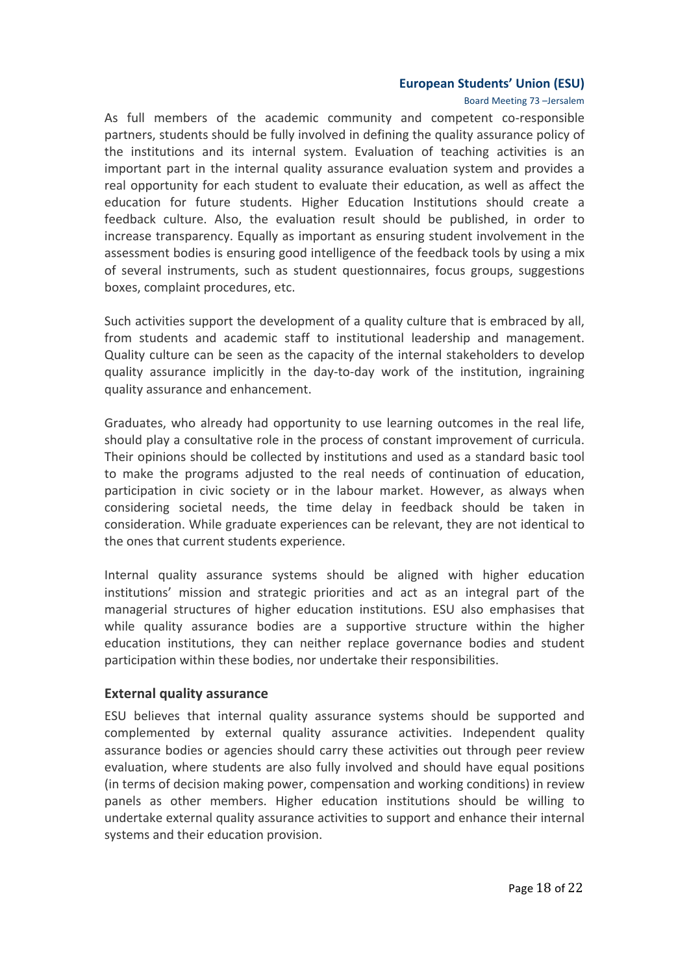#### Board Meeting 73 -Jersalem

As full members of the academic community and competent co-responsible partners, students should be fully involved in defining the quality assurance policy of the institutions and its internal system. Evaluation of teaching activities is an important part in the internal quality assurance evaluation system and provides a real opportunity for each student to evaluate their education, as well as affect the education for future students. Higher Education Institutions should create a feedback culture. Also, the evaluation result should be published, in order to increase transparency. Equally as important as ensuring student involvement in the assessment bodies is ensuring good intelligence of the feedback tools by using a mix of several instruments, such as student questionnaires, focus groups, suggestions boxes, complaint procedures, etc.

Such activities support the development of a quality culture that is embraced by all, from students and academic staff to institutional leadership and management. Quality culture can be seen as the capacity of the internal stakeholders to develop quality assurance implicitly in the day-to-day work of the institution, ingraining quality assurance and enhancement.

Graduates, who already had opportunity to use learning outcomes in the real life, should play a consultative role in the process of constant improvement of curricula. Their opinions should be collected by institutions and used as a standard basic tool to make the programs adjusted to the real needs of continuation of education, participation in civic society or in the labour market. However, as always when considering societal needs, the time delay in feedback should be taken in consideration. While graduate experiences can be relevant, they are not identical to the ones that current students experience.

Internal quality assurance systems should be aligned with higher education institutions' mission and strategic priorities and act as an integral part of the managerial structures of higher education institutions. ESU also emphasises that while quality assurance bodies are a supportive structure within the higher education institutions, they can neither replace governance bodies and student participation within these bodies, nor undertake their responsibilities.

#### **External quality assurance**

ESU believes that internal quality assurance systems should be supported and complemented by external quality assurance activities. Independent quality assurance bodies or agencies should carry these activities out through peer review evaluation, where students are also fully involved and should have equal positions (in terms of decision making power, compensation and working conditions) in review panels as other members. Higher education institutions should be willing to undertake external quality assurance activities to support and enhance their internal systems and their education provision.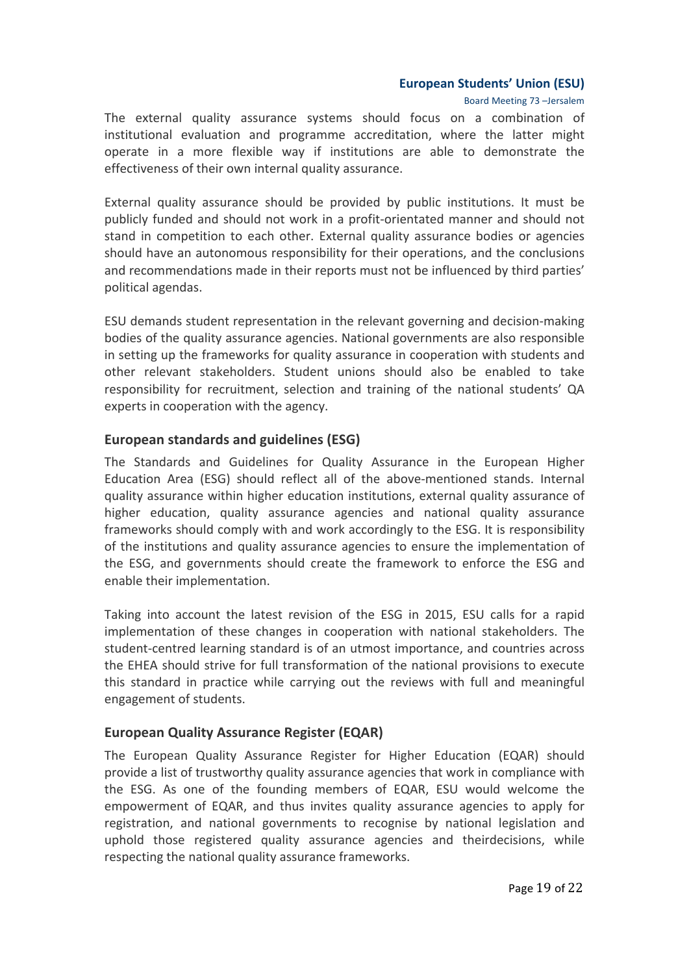Board Meeting 73 -Jersalem

The external quality assurance systems should focus on a combination of institutional evaluation and programme accreditation, where the latter might operate in a more flexible way if institutions are able to demonstrate the effectiveness of their own internal quality assurance.

External quality assurance should be provided by public institutions. It must be publicly funded and should not work in a profit-orientated manner and should not stand in competition to each other. External quality assurance bodies or agencies should have an autonomous responsibility for their operations, and the conclusions and recommendations made in their reports must not be influenced by third parties' political agendas.

ESU demands student representation in the relevant governing and decision-making bodies of the quality assurance agencies. National governments are also responsible in setting up the frameworks for quality assurance in cooperation with students and other relevant stakeholders. Student unions should also be enabled to take responsibility for recruitment, selection and training of the national students' QA experts in cooperation with the agency.

### **European standards and guidelines (ESG)**

The Standards and Guidelines for Quality Assurance in the European Higher Education Area (ESG) should reflect all of the above-mentioned stands. Internal quality assurance within higher education institutions, external quality assurance of higher education, quality assurance agencies and national quality assurance frameworks should comply with and work accordingly to the ESG. It is responsibility of the institutions and quality assurance agencies to ensure the implementation of the ESG, and governments should create the framework to enforce the ESG and enable their implementation.

Taking into account the latest revision of the ESG in 2015, ESU calls for a rapid implementation of these changes in cooperation with national stakeholders. The student-centred learning standard is of an utmost importance, and countries across the EHEA should strive for full transformation of the national provisions to execute this standard in practice while carrying out the reviews with full and meaningful engagement of students.

## **European Quality Assurance Register (EQAR)**

The European Quality Assurance Register for Higher Education (EQAR) should provide a list of trustworthy quality assurance agencies that work in compliance with the ESG. As one of the founding members of EQAR, ESU would welcome the empowerment of EQAR, and thus invites quality assurance agencies to apply for registration, and national governments to recognise by national legislation and uphold those registered quality assurance agencies and theirdecisions, while respecting the national quality assurance frameworks.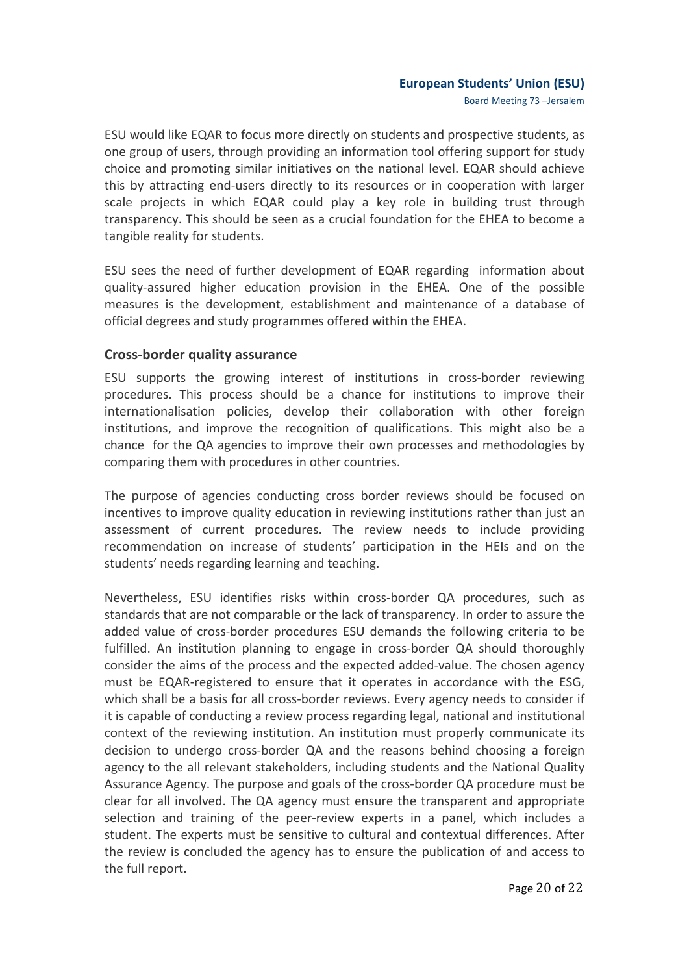Board Meeting 73 -Jersalem

ESU would like EQAR to focus more directly on students and prospective students, as one group of users, through providing an information tool offering support for study choice and promoting similar initiatives on the national level. EQAR should achieve this by attracting end-users directly to its resources or in cooperation with larger scale projects in which EQAR could play a key role in building trust through transparency. This should be seen as a crucial foundation for the EHEA to become a tangible reality for students.

ESU sees the need of further development of EQAR regarding information about quality-assured higher education provision in the EHEA. One of the possible measures is the development, establishment and maintenance of a database of official degrees and study programmes offered within the EHEA.

## **Cross-border quality assurance**

ESU supports the growing interest of institutions in cross-border reviewing procedures. This process should be a chance for institutions to improve their internationalisation policies, develop their collaboration with other foreign institutions, and improve the recognition of qualifications. This might also be a chance for the QA agencies to improve their own processes and methodologies by comparing them with procedures in other countries.

The purpose of agencies conducting cross border reviews should be focused on incentives to improve quality education in reviewing institutions rather than just an assessment of current procedures. The review needs to include providing recommendation on increase of students' participation in the HEIs and on the students' needs regarding learning and teaching.

Nevertheless, ESU identifies risks within cross-border QA procedures, such as standards that are not comparable or the lack of transparency. In order to assure the added value of cross-border procedures ESU demands the following criteria to be fulfilled. An institution planning to engage in cross-border QA should thoroughly consider the aims of the process and the expected added-value. The chosen agency must be EQAR-registered to ensure that it operates in accordance with the ESG, which shall be a basis for all cross-border reviews. Every agency needs to consider if it is capable of conducting a review process regarding legal, national and institutional context of the reviewing institution. An institution must properly communicate its decision to undergo cross-border QA and the reasons behind choosing a foreign agency to the all relevant stakeholders, including students and the National Quality Assurance Agency. The purpose and goals of the cross-border QA procedure must be clear for all involved. The QA agency must ensure the transparent and appropriate selection and training of the peer-review experts in a panel, which includes a student. The experts must be sensitive to cultural and contextual differences. After the review is concluded the agency has to ensure the publication of and access to the full report.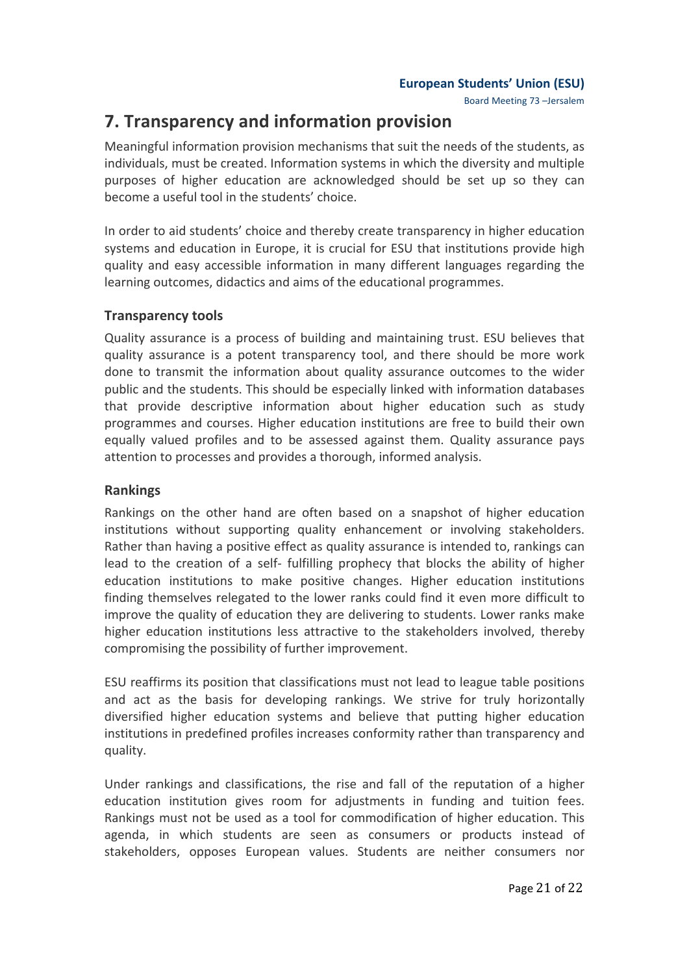Board Meeting 73 -Jersalem

## **7. Transparency and information provision**

Meaningful information provision mechanisms that suit the needs of the students, as individuals, must be created. Information systems in which the diversity and multiple purposes of higher education are acknowledged should be set up so they can become a useful tool in the students' choice.

In order to aid students' choice and thereby create transparency in higher education systems and education in Europe, it is crucial for ESU that institutions provide high quality and easy accessible information in many different languages regarding the learning outcomes, didactics and aims of the educational programmes.

## **Transparency tools**

Quality assurance is a process of building and maintaining trust. ESU believes that quality assurance is a potent transparency tool, and there should be more work done to transmit the information about quality assurance outcomes to the wider public and the students. This should be especially linked with information databases that provide descriptive information about higher education such as study programmes and courses. Higher education institutions are free to build their own equally valued profiles and to be assessed against them. Quality assurance pays attention to processes and provides a thorough, informed analysis.

## **Rankings**

Rankings on the other hand are often based on a snapshot of higher education institutions without supporting quality enhancement or involving stakeholders. Rather than having a positive effect as quality assurance is intended to, rankings can lead to the creation of a self- fulfilling prophecy that blocks the ability of higher education institutions to make positive changes. Higher education institutions finding themselves relegated to the lower ranks could find it even more difficult to improve the quality of education they are delivering to students. Lower ranks make higher education institutions less attractive to the stakeholders involved, thereby compromising the possibility of further improvement.

ESU reaffirms its position that classifications must not lead to league table positions and act as the basis for developing rankings. We strive for truly horizontally diversified higher education systems and believe that putting higher education institutions in predefined profiles increases conformity rather than transparency and quality.

Under rankings and classifications, the rise and fall of the reputation of a higher education institution gives room for adjustments in funding and tuition fees. Rankings must not be used as a tool for commodification of higher education. This agenda, in which students are seen as consumers or products instead of stakeholders, opposes European values. Students are neither consumers nor